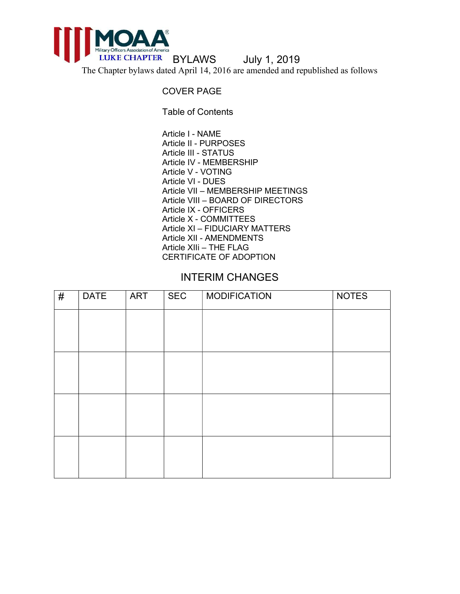

The Chapter bylaws dated April 14, 2016 are amended and republished as follows

### COVER PAGE

Table of Contents

Article I - NAME Article II - PURPOSES Article III - STATUS Article IV - MEMBERSHIP Article V - VOTING Article VI - DUES Article VII – MEMBERSHIP MEETINGS Article VIII – BOARD OF DIRECTORS Article IX - OFFICERS Article X - COMMITTEES Article XI – FIDUCIARY MATTERS Article XII - AMENDMENTS Article XIIi – THE FLAG CERTIFICATE OF ADOPTION

# INTERIM CHANGES

| $\#$ | <b>DATE</b> | ART | <b>SEC</b> | <b>MODIFICATION</b> | <b>NOTES</b> |
|------|-------------|-----|------------|---------------------|--------------|
|      |             |     |            |                     |              |
|      |             |     |            |                     |              |
|      |             |     |            |                     |              |
|      |             |     |            |                     |              |
|      |             |     |            |                     |              |
|      |             |     |            |                     |              |
|      |             |     |            |                     |              |
|      |             |     |            |                     |              |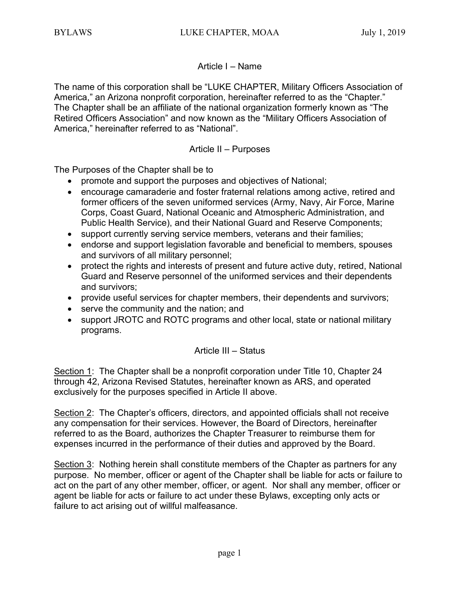## Article I – Name

The name of this corporation shall be "LUKE CHAPTER, Military Officers Association of America," an Arizona nonprofit corporation, hereinafter referred to as the "Chapter." The Chapter shall be an affiliate of the national organization formerly known as "The Retired Officers Association" and now known as the "Military Officers Association of America," hereinafter referred to as "National".

### Article II – Purposes

The Purposes of the Chapter shall be to

- promote and support the purposes and objectives of National;
- encourage camaraderie and foster fraternal relations among active, retired and former officers of the seven uniformed services (Army, Navy, Air Force, Marine Corps, Coast Guard, National Oceanic and Atmospheric Administration, and Public Health Service), and their National Guard and Reserve Components;
- support currently serving service members, veterans and their families;
- endorse and support legislation favorable and beneficial to members, spouses and survivors of all military personnel;
- protect the rights and interests of present and future active duty, retired, National Guard and Reserve personnel of the uniformed services and their dependents and survivors;
- provide useful services for chapter members, their dependents and survivors;
- serve the community and the nation; and
- support JROTC and ROTC programs and other local, state or national military programs.

## Article III – Status

Section 1: The Chapter shall be a nonprofit corporation under Title 10, Chapter 24 through 42, Arizona Revised Statutes, hereinafter known as ARS, and operated exclusively for the purposes specified in Article II above.

Section 2: The Chapter's officers, directors, and appointed officials shall not receive any compensation for their services. However, the Board of Directors, hereinafter referred to as the Board, authorizes the Chapter Treasurer to reimburse them for expenses incurred in the performance of their duties and approved by the Board.

Section 3: Nothing herein shall constitute members of the Chapter as partners for any purpose. No member, officer or agent of the Chapter shall be liable for acts or failure to act on the part of any other member, officer, or agent. Nor shall any member, officer or agent be liable for acts or failure to act under these Bylaws, excepting only acts or failure to act arising out of willful malfeasance.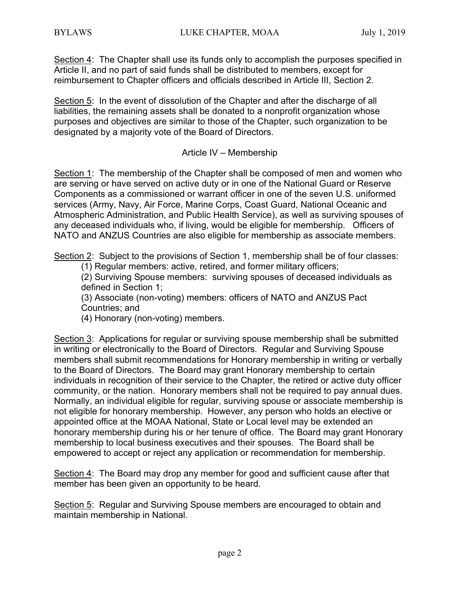Section 4: The Chapter shall use its funds only to accomplish the purposes specified in Article II, and no part of said funds shall be distributed to members, except for reimbursement to Chapter officers and officials described in Article III, Section 2.

Section 5: In the event of dissolution of the Chapter and after the discharge of all liabilities, the remaining assets shall be donated to a nonprofit organization whose purposes and objectives are similar to those of the Chapter, such organization to be designated by a majority vote of the Board of Directors.

### Article IV – Membership

Section 1: The membership of the Chapter shall be composed of men and women who are serving or have served on active duty or in one of the National Guard or Reserve Components as a commissioned or warrant officer in one of the seven U.S. uniformed services (Army, Navy, Air Force, Marine Corps, Coast Guard, National Oceanic and Atmospheric Administration, and Public Health Service), as well as surviving spouses of any deceased individuals who, if living, would be eligible for membership. Officers of NATO and ANZUS Countries are also eligible for membership as associate members.

Section 2: Subject to the provisions of Section 1, membership shall be of four classes:

(1) Regular members: active, retired, and former military officers;

(2) Surviving Spouse members: surviving spouses of deceased individuals as defined in Section 1;

(3) Associate (non-voting) members: officers of NATO and ANZUS Pact Countries; and

(4) Honorary (non-voting) members.

Section 3: Applications for regular or surviving spouse membership shall be submitted in writing or electronically to the Board of Directors. Regular and Surviving Spouse members shall submit recommendations for Honorary membership in writing or verbally to the Board of Directors. The Board may grant Honorary membership to certain individuals in recognition of their service to the Chapter, the retired or active duty officer community, or the nation. Honorary members shall not be required to pay annual dues. Normally, an individual eligible for regular, surviving spouse or associate membership is not eligible for honorary membership. However, any person who holds an elective or appointed office at the MOAA National, State or Local level may be extended an honorary membership during his or her tenure of office. The Board may grant Honorary membership to local business executives and their spouses. The Board shall be empowered to accept or reject any application or recommendation for membership.

Section 4: The Board may drop any member for good and sufficient cause after that member has been given an opportunity to be heard.

Section 5: Regular and Surviving Spouse members are encouraged to obtain and maintain membership in National.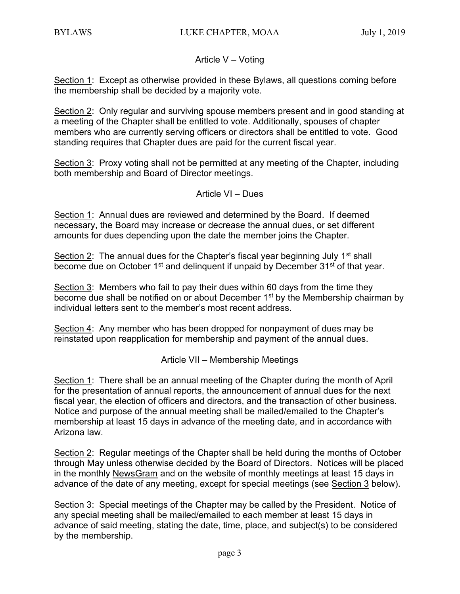## Article V – Voting

Section 1: Except as otherwise provided in these Bylaws, all questions coming before the membership shall be decided by a majority vote.

Section 2: Only regular and surviving spouse members present and in good standing at a meeting of the Chapter shall be entitled to vote. Additionally, spouses of chapter members who are currently serving officers or directors shall be entitled to vote. Good standing requires that Chapter dues are paid for the current fiscal year.

Section 3: Proxy voting shall not be permitted at any meeting of the Chapter, including both membership and Board of Director meetings.

### Article VI – Dues

Section 1: Annual dues are reviewed and determined by the Board. If deemed necessary, the Board may increase or decrease the annual dues, or set different amounts for dues depending upon the date the member joins the Chapter.

Section 2: The annual dues for the Chapter's fiscal year beginning July  $1<sup>st</sup>$  shall become due on October 1<sup>st</sup> and delinguent if unpaid by December 31<sup>st</sup> of that year.

Section 3: Members who fail to pay their dues within 60 days from the time they become due shall be notified on or about December 1<sup>st</sup> by the Membership chairman by individual letters sent to the member's most recent address.

Section 4: Any member who has been dropped for nonpayment of dues may be reinstated upon reapplication for membership and payment of the annual dues.

Article VII – Membership Meetings

Section 1: There shall be an annual meeting of the Chapter during the month of April for the presentation of annual reports, the announcement of annual dues for the next fiscal year, the election of officers and directors, and the transaction of other business. Notice and purpose of the annual meeting shall be mailed/emailed to the Chapter's membership at least 15 days in advance of the meeting date, and in accordance with Arizona law.

Section 2: Regular meetings of the Chapter shall be held during the months of October through May unless otherwise decided by the Board of Directors. Notices will be placed in the monthly NewsGram and on the website of monthly meetings at least 15 days in advance of the date of any meeting, except for special meetings (see Section 3 below).

Section 3: Special meetings of the Chapter may be called by the President. Notice of any special meeting shall be mailed/emailed to each member at least 15 days in advance of said meeting, stating the date, time, place, and subject(s) to be considered by the membership.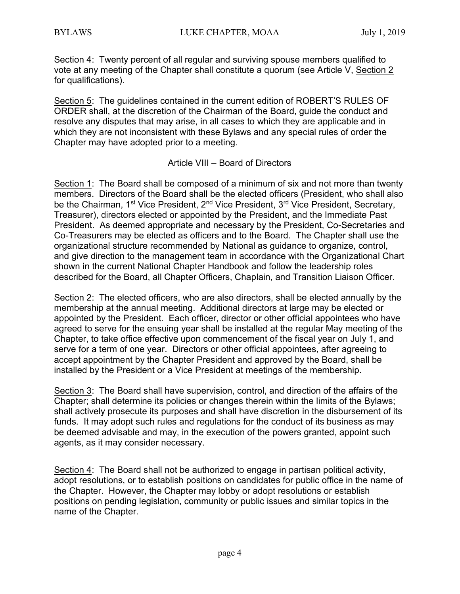Section 4: Twenty percent of all regular and surviving spouse members qualified to vote at any meeting of the Chapter shall constitute a quorum (see Article V, Section 2 for qualifications).

Section 5: The guidelines contained in the current edition of ROBERT'S RULES OF ORDER shall, at the discretion of the Chairman of the Board, guide the conduct and resolve any disputes that may arise, in all cases to which they are applicable and in which they are not inconsistent with these Bylaws and any special rules of order the Chapter may have adopted prior to a meeting.

### Article VIII – Board of Directors

Section 1: The Board shall be composed of a minimum of six and not more than twenty members. Directors of the Board shall be the elected officers (President, who shall also be the Chairman, 1<sup>st</sup> Vice President, 2<sup>nd</sup> Vice President, 3<sup>rd</sup> Vice President, Secretary, Treasurer), directors elected or appointed by the President, and the Immediate Past President. As deemed appropriate and necessary by the President, Co-Secretaries and Co-Treasurers may be elected as officers and to the Board. The Chapter shall use the organizational structure recommended by National as guidance to organize, control, and give direction to the management team in accordance with the Organizational Chart shown in the current National Chapter Handbook and follow the leadership roles described for the Board, all Chapter Officers, Chaplain, and Transition Liaison Officer.

Section 2: The elected officers, who are also directors, shall be elected annually by the membership at the annual meeting. Additional directors at large may be elected or appointed by the President. Each officer, director or other official appointees who have agreed to serve for the ensuing year shall be installed at the regular May meeting of the Chapter, to take office effective upon commencement of the fiscal year on July 1, and serve for a term of one year. Directors or other official appointees, after agreeing to accept appointment by the Chapter President and approved by the Board, shall be installed by the President or a Vice President at meetings of the membership.

Section 3: The Board shall have supervision, control, and direction of the affairs of the Chapter; shall determine its policies or changes therein within the limits of the Bylaws; shall actively prosecute its purposes and shall have discretion in the disbursement of its funds. It may adopt such rules and regulations for the conduct of its business as may be deemed advisable and may, in the execution of the powers granted, appoint such agents, as it may consider necessary.

Section 4: The Board shall not be authorized to engage in partisan political activity, adopt resolutions, or to establish positions on candidates for public office in the name of the Chapter. However, the Chapter may lobby or adopt resolutions or establish positions on pending legislation, community or public issues and similar topics in the name of the Chapter.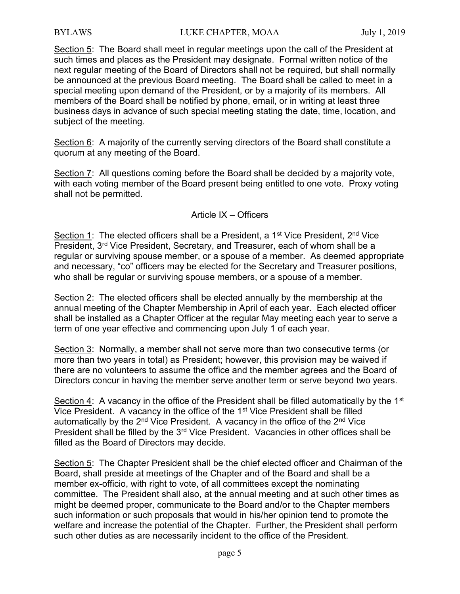Section 5: The Board shall meet in regular meetings upon the call of the President at such times and places as the President may designate. Formal written notice of the next regular meeting of the Board of Directors shall not be required, but shall normally be announced at the previous Board meeting. The Board shall be called to meet in a special meeting upon demand of the President, or by a majority of its members. All members of the Board shall be notified by phone, email, or in writing at least three business days in advance of such special meeting stating the date, time, location, and subject of the meeting.

Section 6: A majority of the currently serving directors of the Board shall constitute a quorum at any meeting of the Board.

Section 7: All questions coming before the Board shall be decided by a majority vote, with each voting member of the Board present being entitled to one vote. Proxy voting shall not be permitted.

#### Article IX – Officers

Section 1: The elected officers shall be a President, a 1<sup>st</sup> Vice President, 2<sup>nd</sup> Vice President, 3<sup>rd</sup> Vice President, Secretary, and Treasurer, each of whom shall be a regular or surviving spouse member, or a spouse of a member. As deemed appropriate and necessary, "co" officers may be elected for the Secretary and Treasurer positions, who shall be regular or surviving spouse members, or a spouse of a member.

Section 2: The elected officers shall be elected annually by the membership at the annual meeting of the Chapter Membership in April of each year. Each elected officer shall be installed as a Chapter Officer at the regular May meeting each year to serve a term of one year effective and commencing upon July 1 of each year.

Section 3: Normally, a member shall not serve more than two consecutive terms (or more than two years in total) as President; however, this provision may be waived if there are no volunteers to assume the office and the member agrees and the Board of Directors concur in having the member serve another term or serve beyond two years.

Section 4: A vacancy in the office of the President shall be filled automatically by the 1<sup>st</sup> Vice President. A vacancy in the office of the 1<sup>st</sup> Vice President shall be filled automatically by the  $2^{nd}$  Vice President. A vacancy in the office of the  $2^{nd}$  Vice President shall be filled by the 3<sup>rd</sup> Vice President. Vacancies in other offices shall be filled as the Board of Directors may decide.

Section 5: The Chapter President shall be the chief elected officer and Chairman of the Board, shall preside at meetings of the Chapter and of the Board and shall be a member ex-officio, with right to vote, of all committees except the nominating committee. The President shall also, at the annual meeting and at such other times as might be deemed proper, communicate to the Board and/or to the Chapter members such information or such proposals that would in his/her opinion tend to promote the welfare and increase the potential of the Chapter. Further, the President shall perform such other duties as are necessarily incident to the office of the President.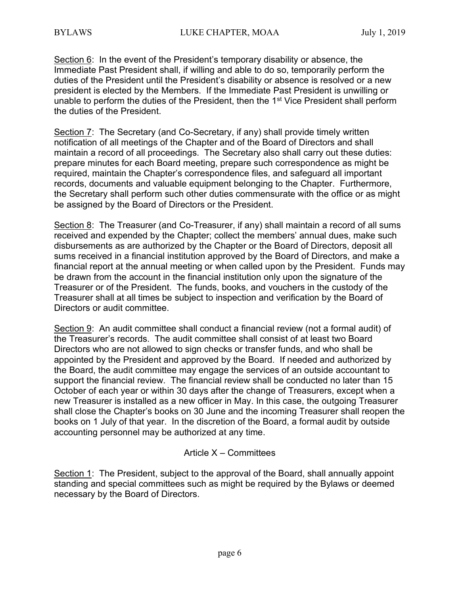Section 6: In the event of the President's temporary disability or absence, the Immediate Past President shall, if willing and able to do so, temporarily perform the duties of the President until the President's disability or absence is resolved or a new president is elected by the Members. If the Immediate Past President is unwilling or unable to perform the duties of the President, then the 1<sup>st</sup> Vice President shall perform the duties of the President.

Section 7: The Secretary (and Co-Secretary, if any) shall provide timely written notification of all meetings of the Chapter and of the Board of Directors and shall maintain a record of all proceedings. The Secretary also shall carry out these duties: prepare minutes for each Board meeting, prepare such correspondence as might be required, maintain the Chapter's correspondence files, and safeguard all important records, documents and valuable equipment belonging to the Chapter. Furthermore, the Secretary shall perform such other duties commensurate with the office or as might be assigned by the Board of Directors or the President.

Section 8: The Treasurer (and Co-Treasurer, if any) shall maintain a record of all sums received and expended by the Chapter; collect the members' annual dues, make such disbursements as are authorized by the Chapter or the Board of Directors, deposit all sums received in a financial institution approved by the Board of Directors, and make a financial report at the annual meeting or when called upon by the President. Funds may be drawn from the account in the financial institution only upon the signature of the Treasurer or of the President. The funds, books, and vouchers in the custody of the Treasurer shall at all times be subject to inspection and verification by the Board of Directors or audit committee.

Section 9: An audit committee shall conduct a financial review (not a formal audit) of the Treasurer's records. The audit committee shall consist of at least two Board Directors who are not allowed to sign checks or transfer funds, and who shall be appointed by the President and approved by the Board. If needed and authorized by the Board, the audit committee may engage the services of an outside accountant to support the financial review. The financial review shall be conducted no later than 15 October of each year or within 30 days after the change of Treasurers, except when a new Treasurer is installed as a new officer in May. In this case, the outgoing Treasurer shall close the Chapter's books on 30 June and the incoming Treasurer shall reopen the books on 1 July of that year. In the discretion of the Board, a formal audit by outside accounting personnel may be authorized at any time.

### Article X – Committees

Section 1: The President, subject to the approval of the Board, shall annually appoint standing and special committees such as might be required by the Bylaws or deemed necessary by the Board of Directors.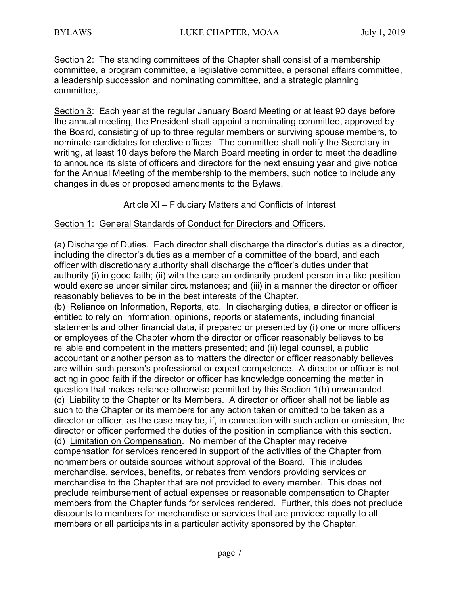Section 2: The standing committees of the Chapter shall consist of a membership committee, a program committee, a legislative committee, a personal affairs committee, a leadership succession and nominating committee, and a strategic planning committee,.

Section 3: Each year at the regular January Board Meeting or at least 90 days before the annual meeting, the President shall appoint a nominating committee, approved by the Board, consisting of up to three regular members or surviving spouse members, to nominate candidates for elective offices. The committee shall notify the Secretary in writing, at least 10 days before the March Board meeting in order to meet the deadline to announce its slate of officers and directors for the next ensuing year and give notice for the Annual Meeting of the membership to the members, such notice to include any changes in dues or proposed amendments to the Bylaws.

Article XI – Fiduciary Matters and Conflicts of Interest

#### Section 1: General Standards of Conduct for Directors and Officers.

(a) Discharge of Duties. Each director shall discharge the director's duties as a director, including the director's duties as a member of a committee of the board, and each officer with discretionary authority shall discharge the officer's duties under that authority (i) in good faith; (ii) with the care an ordinarily prudent person in a like position would exercise under similar circumstances; and (iii) in a manner the director or officer reasonably believes to be in the best interests of the Chapter.

(b) Reliance on Information, Reports, etc. In discharging duties, a director or officer is entitled to rely on information, opinions, reports or statements, including financial statements and other financial data, if prepared or presented by (i) one or more officers or employees of the Chapter whom the director or officer reasonably believes to be reliable and competent in the matters presented; and (ii) legal counsel, a public accountant or another person as to matters the director or officer reasonably believes are within such person's professional or expert competence. A director or officer is not acting in good faith if the director or officer has knowledge concerning the matter in question that makes reliance otherwise permitted by this Section 1(b) unwarranted. (c) Liability to the Chapter or Its Members. A director or officer shall not be liable as such to the Chapter or its members for any action taken or omitted to be taken as a director or officer, as the case may be, if, in connection with such action or omission, the director or officer performed the duties of the position in compliance with this section. (d) Limitation on Compensation. No member of the Chapter may receive compensation for services rendered in support of the activities of the Chapter from nonmembers or outside sources without approval of the Board. This includes merchandise, services, benefits, or rebates from vendors providing services or merchandise to the Chapter that are not provided to every member. This does not preclude reimbursement of actual expenses or reasonable compensation to Chapter members from the Chapter funds for services rendered. Further, this does not preclude discounts to members for merchandise or services that are provided equally to all members or all participants in a particular activity sponsored by the Chapter.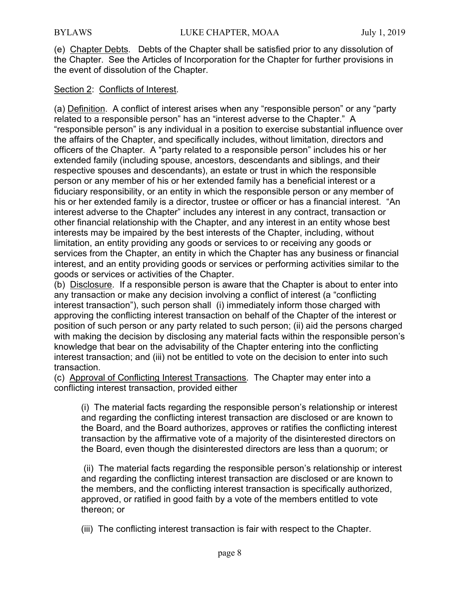(e) Chapter Debts. Debts of the Chapter shall be satisfied prior to any dissolution of the Chapter. See the Articles of Incorporation for the Chapter for further provisions in the event of dissolution of the Chapter.

### Section 2: Conflicts of Interest.

(a) Definition. A conflict of interest arises when any "responsible person" or any "party related to a responsible person" has an "interest adverse to the Chapter." A "responsible person" is any individual in a position to exercise substantial influence over the affairs of the Chapter, and specifically includes, without limitation, directors and officers of the Chapter. A "party related to a responsible person" includes his or her extended family (including spouse, ancestors, descendants and siblings, and their respective spouses and descendants), an estate or trust in which the responsible person or any member of his or her extended family has a beneficial interest or a fiduciary responsibility, or an entity in which the responsible person or any member of his or her extended family is a director, trustee or officer or has a financial interest. "An interest adverse to the Chapter" includes any interest in any contract, transaction or other financial relationship with the Chapter, and any interest in an entity whose best interests may be impaired by the best interests of the Chapter, including, without limitation, an entity providing any goods or services to or receiving any goods or services from the Chapter, an entity in which the Chapter has any business or financial interest, and an entity providing goods or services or performing activities similar to the goods or services or activities of the Chapter.

(b) Disclosure. If a responsible person is aware that the Chapter is about to enter into any transaction or make any decision involving a conflict of interest (a "conflicting interest transaction"), such person shall (i) immediately inform those charged with approving the conflicting interest transaction on behalf of the Chapter of the interest or position of such person or any party related to such person; (ii) aid the persons charged with making the decision by disclosing any material facts within the responsible person's knowledge that bear on the advisability of the Chapter entering into the conflicting interest transaction; and (iii) not be entitled to vote on the decision to enter into such transaction.

(c) Approval of Conflicting Interest Transactions. The Chapter may enter into a conflicting interest transaction, provided either

(i) The material facts regarding the responsible person's relationship or interest and regarding the conflicting interest transaction are disclosed or are known to the Board, and the Board authorizes, approves or ratifies the conflicting interest transaction by the affirmative vote of a majority of the disinterested directors on the Board, even though the disinterested directors are less than a quorum; or

 (ii) The material facts regarding the responsible person's relationship or interest and regarding the conflicting interest transaction are disclosed or are known to the members, and the conflicting interest transaction is specifically authorized, approved, or ratified in good faith by a vote of the members entitled to vote thereon; or

(iii) The conflicting interest transaction is fair with respect to the Chapter.